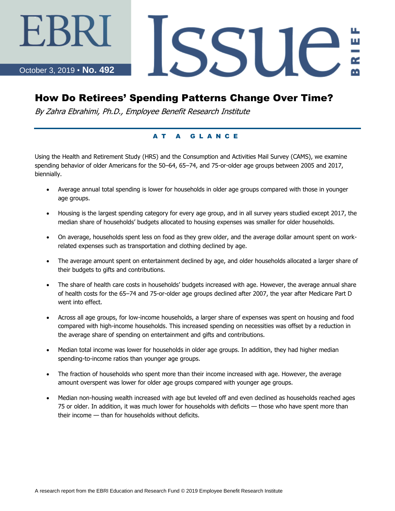October 3, 2019 • **No. 492**

# SSUE

# How Do Retirees' Spending Patterns Change Over Time?

By Zahra Ebrahimi, Ph.D., Employee Benefit Research Institute

#### A T A G L A N C E

Using the Health and Retirement Study (HRS) and the Consumption and Activities Mail Survey (CAMS), we examine spending behavior of older Americans for the 50–64, 65–74, and 75-or-older age groups between 2005 and 2017, biennially.

- Average annual total spending is lower for households in older age groups compared with those in younger age groups.
- Housing is the largest spending category for every age group, and in all survey years studied except 2017, the median share of households' budgets allocated to housing expenses was smaller for older households.
- On average, households spent less on food as they grew older, and the average dollar amount spent on workrelated expenses such as transportation and clothing declined by age.
- The average amount spent on entertainment declined by age, and older households allocated a larger share of their budgets to gifts and contributions.
- The share of health care costs in households' budgets increased with age. However, the average annual share of health costs for the 65–74 and 75-or-older age groups declined after 2007, the year after Medicare Part D went into effect.
- Across all age groups, for low-income households, a larger share of expenses was spent on housing and food compared with high-income households. This increased spending on necessities was offset by a reduction in the average share of spending on entertainment and gifts and contributions.
- Median total income was lower for households in older age groups. In addition, they had higher median spending-to-income ratios than younger age groups.
- The fraction of households who spent more than their income increased with age. However, the average amount overspent was lower for older age groups compared with younger age groups.
- Median non-housing wealth increased with age but leveled off and even declined as households reached ages 75 or older. In addition, it was much lower for households with deficits — those who have spent more than their income — than for households without deficits.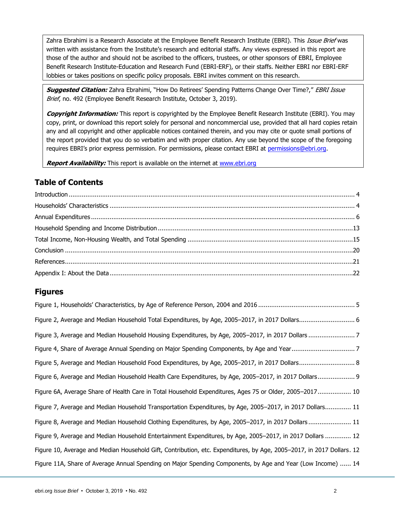Zahra Ebrahimi is a Research Associate at the Employee Benefit Research Institute (EBRI). This *Issue Brief* was written with assistance from the Institute's research and editorial staffs. Any views expressed in this report are those of the author and should not be ascribed to the officers, trustees, or other sponsors of EBRI, Employee Benefit Research Institute-Education and Research Fund (EBRI-ERF), or their staffs. Neither EBRI nor EBRI-ERF lobbies or takes positions on specific policy proposals. EBRI invites comment on this research.

**Suggested Citation:** Zahra Ebrahimi, "How Do Retirees' Spending Patterns Change Over Time?," EBRI Issue Brief, no. 492 (Employee Benefit Research Institute, October 3, 2019).

**Copyright Information:** This report is copyrighted by the Employee Benefit Research Institute (EBRI). You may copy, print, or download this report solely for personal and noncommercial use, provided that all hard copies retain any and all copyright and other applicable notices contained therein, and you may cite or quote small portions of the report provided that you do so verbatim and with proper citation. Any use beyond the scope of the foregoing requires EBRI's prior express permission. For permissions, please contact EBRI at [permissions@ebri.org.](mailto:permissions@ebri.org)

**Report Availability:** This report is available on the internet at [www.ebri.org](http://www.ebri.org/)

## **Table of Contents**

#### **Figures**

| Figure 2, Average and Median Household Total Expenditures, by Age, 2005-2017, in 2017 Dollars 6                       |
|-----------------------------------------------------------------------------------------------------------------------|
|                                                                                                                       |
|                                                                                                                       |
| Figure 5, Average and Median Household Food Expenditures, by Age, 2005–2017, in 2017 Dollars 8                        |
| Figure 6, Average and Median Household Health Care Expenditures, by Age, 2005–2017, in 2017 Dollars 9                 |
| Figure 6A, Average Share of Health Care in Total Household Expenditures, Ages 75 or Older, 2005-2017 10               |
| Figure 7, Average and Median Household Transportation Expenditures, by Age, 2005–2017, in 2017 Dollars 11             |
| Figure 8, Average and Median Household Clothing Expenditures, by Age, 2005–2017, in 2017 Dollars 11                   |
|                                                                                                                       |
| Figure 9, Average and Median Household Entertainment Expenditures, by Age, 2005–2017, in 2017 Dollars  12             |
| Figure 10, Average and Median Household Gift, Contribution, etc. Expenditures, by Age, 2005-2017, in 2017 Dollars. 12 |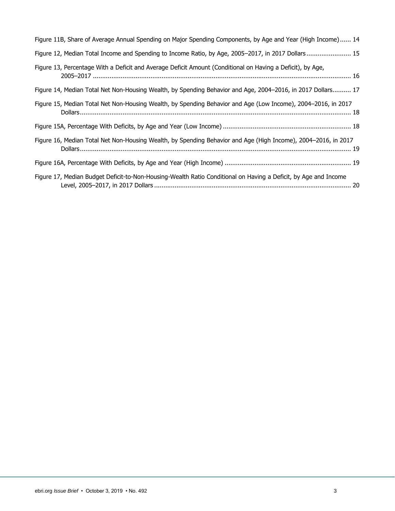| Figure 11B, Share of Average Annual Spending on Major Spending Components, by Age and Year (High Income) 14     |
|-----------------------------------------------------------------------------------------------------------------|
| Figure 12, Median Total Income and Spending to Income Ratio, by Age, 2005-2017, in 2017 Dollars 15              |
| Figure 13, Percentage With a Deficit and Average Deficit Amount (Conditional on Having a Deficit), by Age,      |
| Figure 14, Median Total Net Non-Housing Wealth, by Spending Behavior and Age, 2004–2016, in 2017 Dollars 17     |
| Figure 15, Median Total Net Non-Housing Wealth, by Spending Behavior and Age (Low Income), 2004–2016, in 2017   |
|                                                                                                                 |
| Figure 16, Median Total Net Non-Housing Wealth, by Spending Behavior and Age (High Income), 2004-2016, in 2017  |
|                                                                                                                 |
| Figure 17, Median Budget Deficit-to-Non-Housing-Wealth Ratio Conditional on Having a Deficit, by Age and Income |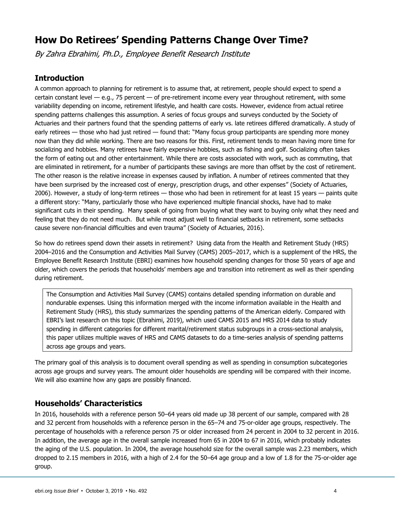# **How Do Retirees' Spending Patterns Change Over Time?**

By Zahra Ebrahimi, Ph.D., Employee Benefit Research Institute

#### <span id="page-3-0"></span>**Introduction**

A common approach to planning for retirement is to assume that, at retirement, people should expect to spend a certain constant level — e.g., 75 percent — of pre-retirement income every year throughout retirement, with some variability depending on income, retirement lifestyle, and health care costs. However, evidence from actual retiree spending patterns challenges this assumption. A series of focus groups and surveys conducted by the Society of Actuaries and their partners found that the spending patterns of early vs. late retirees differed dramatically. A study of early retirees — those who had just retired — found that: "Many focus group participants are spending more money now than they did while working. There are two reasons for this. First, retirement tends to mean having more time for socializing and hobbies. Many retirees have fairly expensive hobbies, such as fishing and golf. Socializing often takes the form of eating out and other entertainment. While there are costs associated with work, such as commuting, that are eliminated in retirement, for a number of participants these savings are more than offset by the cost of retirement. The other reason is the relative increase in expenses caused by inflation. A number of retirees commented that they have been surprised by the increased cost of energy, prescription drugs, and other expenses" (Society of Actuaries, 2006). However, a study of long-term retirees — those who had been in retirement for at least 15 years — paints quite a different story: "Many, particularly those who have experienced multiple financial shocks, have had to make significant cuts in their spending. Many speak of going from buying what they want to buying only what they need and feeling that they do not need much. But while most adjust well to financial setbacks in retirement, some setbacks cause severe non-financial difficulties and even trauma" (Society of Actuaries, 2016).

So how do retirees spend down their assets in retirement? Using data from the Health and Retirement Study (HRS) 2004–2016 and the Consumption and Activities Mail Survey (CAMS) 2005–2017, which is a supplement of the HRS, the Employee Benefit Research Institute (EBRI) examines how household spending changes for those 50 years of age and older, which covers the periods that households' members age and transition into retirement as well as their spending during retirement.

The Consumption and Activities Mail Survey (CAMS) contains detailed spending information on durable and nondurable expenses. Using this information merged with the income information available in the Health and Retirement Study (HRS), this study summarizes the spending patterns of the American elderly. Compared with EBRI's last research on this topic (Ebrahimi, 2019), which used CAMS 2015 and HRS 2014 data to study spending in different categories for different marital/retirement status subgroups in a cross-sectional analysis, this paper utilizes multiple waves of HRS and CAMS datasets to do a time-series analysis of spending patterns across age groups and years.

The primary goal of this analysis is to document overall spending as well as spending in consumption subcategories across age groups and survey years. The amount older households are spending will be compared with their income. We will also examine how any gaps are possibly financed.

#### <span id="page-3-1"></span>**Households' Characteristics**

In 2016, households with a reference person 50–64 years old made up 38 percent of our sample, compared with 28 and 32 percent from households with a reference person in the 65–74 and 75-or-older age groups, respectively. The percentage of households with a reference person 75 or older increased from 24 percent in 2004 to 32 percent in 2016. In addition, the average age in the overall sample increased from 65 in 2004 to 67 in 2016, which probably indicates the aging of the U.S. population. In 2004, the average household size for the overall sample was 2.23 members, which dropped to 2.15 members in 2016, with a high of 2.4 for the 50–64 age group and a low of 1.8 for the 75-or-older age group.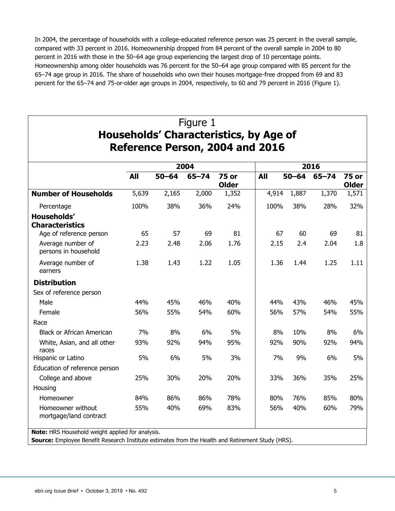In 2004, the percentage of households with a college-educated reference person was 25 percent in the overall sample, compared with 33 percent in 2016. Homeownership dropped from 84 percent of the overall sample in 2004 to 80 percent in 2016 with those in the 50–64 age group experiencing the largest drop of 10 percentage points. Homeownership among older households was 76 percent for the 50–64 age group compared with 85 percent for the 65–74 age group in 2016. The share of households who own their houses mortgage-free dropped from 69 and 83 percent for the 65–74 and 75-or-older age groups in 2004, respectively, to 60 and 79 percent in 2016 (Figure 1).

|                                             |            |           | 2004      |                              |            |           |           |                              |
|---------------------------------------------|------------|-----------|-----------|------------------------------|------------|-----------|-----------|------------------------------|
|                                             | <b>All</b> | $50 - 64$ | $65 - 74$ | <b>75 or</b><br><b>Older</b> | <b>All</b> | $50 - 64$ | $65 - 74$ | <b>75 or</b><br><b>Older</b> |
| <b>Number of Households</b>                 | 5,639      | 2,165     | 2,000     | 1,352                        | 4,914      | 1,887     | 1,370     | 1,571                        |
| Percentage                                  | 100%       | 38%       | 36%       | 24%                          | 100%       | 38%       | 28%       | 32%                          |
| Households'<br><b>Characteristics</b>       |            |           |           |                              |            |           |           |                              |
| Age of reference person                     | 65         | 57        | 69        | 81                           | 67         | 60        | 69        | 81                           |
| Average number of<br>persons in household   | 2.23       | 2.48      | 2.06      | 1.76                         | 2.15       | 2.4       | 2.04      | 1.8                          |
| Average number of<br>earners                | 1.38       | 1.43      | 1.22      | 1.05                         | 1.36       | 1.44      | 1.25      | 1.11                         |
| <b>Distribution</b>                         |            |           |           |                              |            |           |           |                              |
| Sex of reference person                     |            |           |           |                              |            |           |           |                              |
| Male                                        | 44%        | 45%       | 46%       | 40%                          | 44%        | 43%       | 46%       | 45%                          |
| Female                                      | 56%        | 55%       | 54%       | 60%                          | 56%        | 57%       | 54%       | 55%                          |
| Race                                        |            |           |           |                              |            |           |           |                              |
| <b>Black or African American</b>            | 7%         | 8%        | 6%        | 5%                           | 8%         | 10%       | 8%        | 6%                           |
| White, Asian, and all other<br>races        | 93%        | 92%       | 94%       | 95%                          | 92%        | 90%       | 92%       | 94%                          |
| Hispanic or Latino                          | 5%         | 6%        | 5%        | 3%                           | 7%         | 9%        | 6%        | 5%                           |
| Education of reference person               |            |           |           |                              |            |           |           |                              |
| College and above                           | 25%        | 30%       | 20%       | 20%                          | 33%        | 36%       | 35%       | 25%                          |
| Housing                                     |            |           |           |                              |            |           |           |                              |
| Homeowner                                   | 84%        | 86%       | 86%       | 78%                          | 80%        | 76%       | 85%       | 80%                          |
| Homeowner without<br>mortgage/land contract | 55%        | 40%       | 69%       | 83%                          | 56%        | 40%       | 60%       | 79%                          |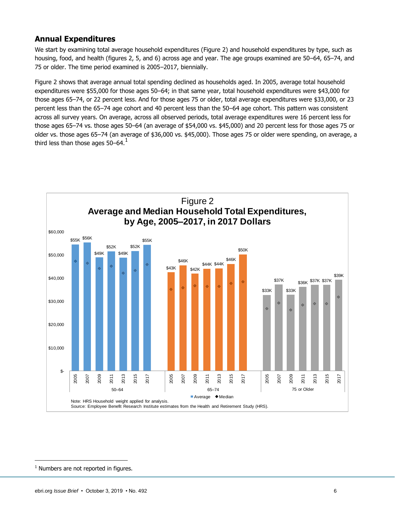#### <span id="page-5-0"></span>**Annual Expenditures**

We start by examining total average household expenditures (Figure 2) and household expenditures by type, such as housing, food, and health (figures 2, 5, and 6) across age and year. The age groups examined are 50–64, 65–74, and 75 or older. The time period examined is 2005–2017, biennially.

Figure 2 shows that average annual total spending declined as households aged. In 2005, average total household expenditures were \$55,000 for those ages 50–64; in that same year, total household expenditures were \$43,000 for those ages 65–74, or 22 percent less. And for those ages 75 or older, total average expenditures were \$33,000, or 23 percent less than the 65–74 age cohort and 40 percent less than the 50–64 age cohort. This pattern was consistent across all survey years. On average, across all observed periods, total average expenditures were 16 percent less for those ages 65–74 vs. those ages 50–64 (an average of \$54,000 vs. \$45,000) and 20 percent less for those ages 75 or older vs. those ages 65–74 (an average of \$36,000 vs. \$45,000). Those ages 75 or older were spending, on average, a third less than those ages  $50-64$ .<sup>1</sup>



 $<sup>1</sup>$  Numbers are not reported in figures.</sup>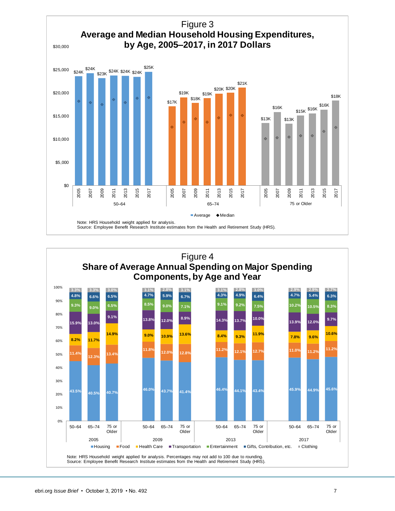

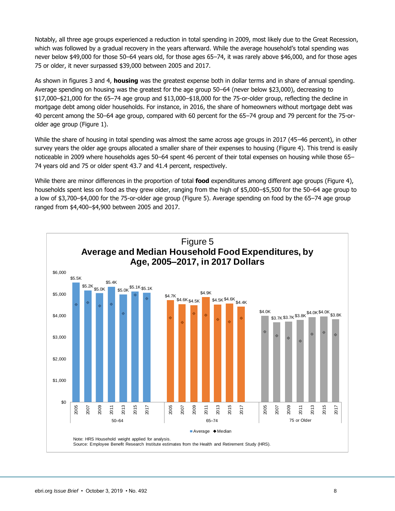Notably, all three age groups experienced a reduction in total spending in 2009, most likely due to the Great Recession, which was followed by a gradual recovery in the years afterward. While the average household's total spending was never below \$49,000 for those 50–64 years old, for those ages 65–74, it was rarely above \$46,000, and for those ages 75 or older, it never surpassed \$39,000 between 2005 and 2017.

As shown in figures 3 and 4, **housing** was the greatest expense both in dollar terms and in share of annual spending. Average spending on housing was the greatest for the age group 50–64 (never below \$23,000), decreasing to \$17,000–\$21,000 for the 65–74 age group and \$13,000–\$18,000 for the 75-or-older group, reflecting the decline in mortgage debt among older households. For instance, in 2016, the share of homeowners without mortgage debt was 40 percent among the 50–64 age group, compared with 60 percent for the 65–74 group and 79 percent for the 75-orolder age group (Figure 1).

While the share of housing in total spending was almost the same across age groups in 2017 (45–46 percent), in other survey years the older age groups allocated a smaller share of their expenses to housing (Figure 4). This trend is easily noticeable in 2009 where households ages 50–64 spent 46 percent of their total expenses on housing while those 65– 74 years old and 75 or older spent 43.7 and 41.4 percent, respectively.

While there are minor differences in the proportion of total **food** expenditures among different age groups (Figure 4), households spent less on food as they grew older, ranging from the high of \$5,000–\$5,500 for the 50–64 age group to a low of \$3,700–\$4,000 for the 75-or-older age group (Figure 5). Average spending on food by the 65–74 age group ranged from \$4,400–\$4,900 between 2005 and 2017.

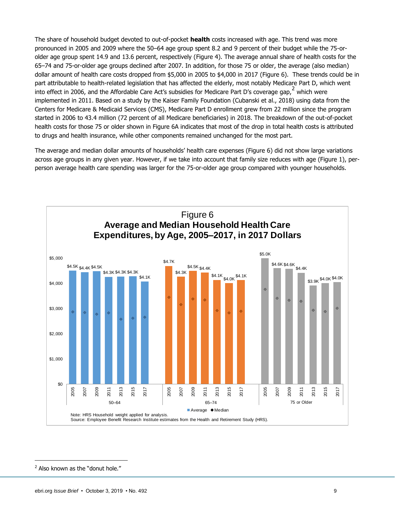The share of household budget devoted to out-of-pocket **health** costs increased with age. This trend was more pronounced in 2005 and 2009 where the 50–64 age group spent 8.2 and 9 percent of their budget while the 75-orolder age group spent 14.9 and 13.6 percent, respectively (Figure 4). The average annual share of health costs for the 65–74 and 75-or-older age groups declined after 2007. In addition, for those 75 or older, the average (also median) dollar amount of health care costs dropped from \$5,000 in 2005 to \$4,000 in 2017 (Figure 6). These trends could be in part attributable to health-related legislation that has affected the elderly, most notably Medicare Part D, which went into effect in 2006, and the Affordable Care Act's subsidies for Medicare Part D's coverage gap,  $^2$  which were implemented in 2011. Based on a study by the Kaiser Family Foundation (Cubanski et al., 2018) using data from the Centers for Medicare & Medicaid Services (CMS), Medicare Part D enrollment grew from 22 million since the program started in 2006 to 43.4 million (72 percent of all Medicare beneficiaries) in 2018. The breakdown of the out-of-pocket health costs for those 75 or older shown in Figure 6A indicates that most of the drop in total health costs is attributed to drugs and health insurance, while other components remained unchanged for the most part.

The average and median dollar amounts of households' health care expenses (Figure 6) did not show large variations across age groups in any given year. However, if we take into account that family size reduces with age (Figure 1), perperson average health care spending was larger for the 75-or-older age group compared with younger households.



<sup>&</sup>lt;sup>2</sup> Also known as the "donut hole."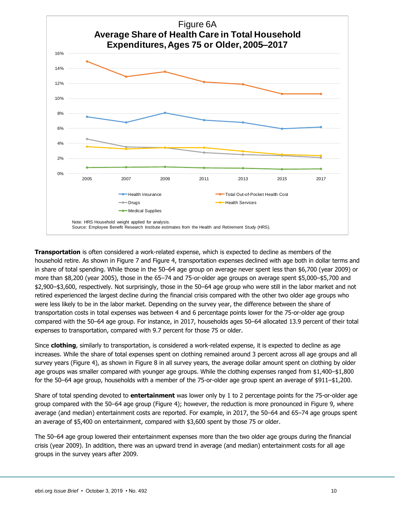

**Transportation** is often considered a work-related expense, which is expected to decline as members of the household retire. As shown in Figure 7 and Figure 4, transportation expenses declined with age both in dollar terms and in share of total spending. While those in the 50–64 age group on average never spent less than \$6,700 (year 2009) or more than \$8,200 (year 2005), those in the 65–74 and 75-or-older age groups on average spent \$5,000–\$5,700 and \$2,900–\$3,600, respectively. Not surprisingly, those in the 50–64 age group who were still in the labor market and not retired experienced the largest decline during the financial crisis compared with the other two older age groups who were less likely to be in the labor market. Depending on the survey year, the difference between the share of transportation costs in total expenses was between 4 and 6 percentage points lower for the 75-or-older age group compared with the 50–64 age group. For instance, in 2017, households ages 50–64 allocated 13.9 percent of their total expenses to transportation, compared with 9.7 percent for those 75 or older.

Since **clothing**, similarly to transportation, is considered a work-related expense, it is expected to decline as age increases. While the share of total expenses spent on clothing remained around 3 percent across all age groups and all survey years (Figure 4), as shown in Figure 8 in all survey years, the average dollar amount spent on clothing by older age groups was smaller compared with younger age groups. While the clothing expenses ranged from \$1,400–\$1,800 for the 50–64 age group, households with a member of the 75-or-older age group spent an average of \$911–\$1,200.

Share of total spending devoted to **entertainment** was lower only by 1 to 2 percentage points for the 75-or-older age group compared with the 50–64 age group (Figure 4); however, the reduction is more pronounced in Figure 9, where average (and median) entertainment costs are reported. For example, in 2017, the 50–64 and 65–74 age groups spent an average of \$5,400 on entertainment, compared with \$3,600 spent by those 75 or older.

The 50–64 age group lowered their entertainment expenses more than the two older age groups during the financial crisis (year 2009). In addition, there was an upward trend in average (and median) entertainment costs for all age groups in the survey years after 2009.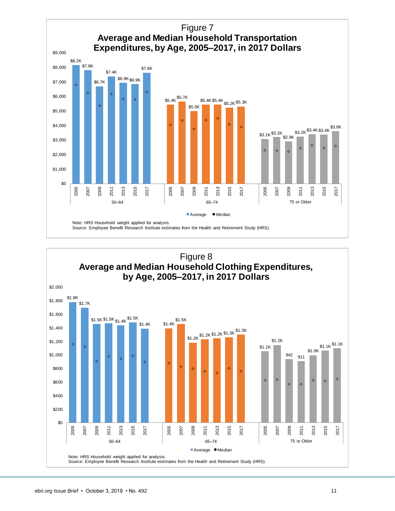

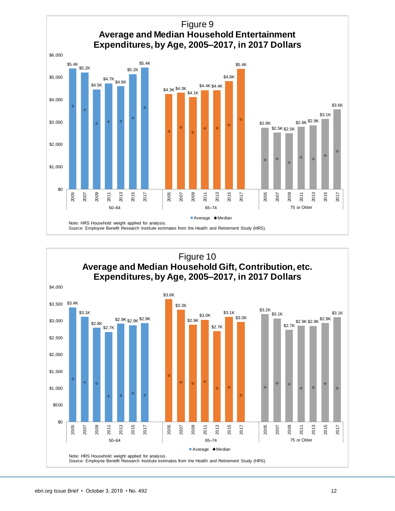

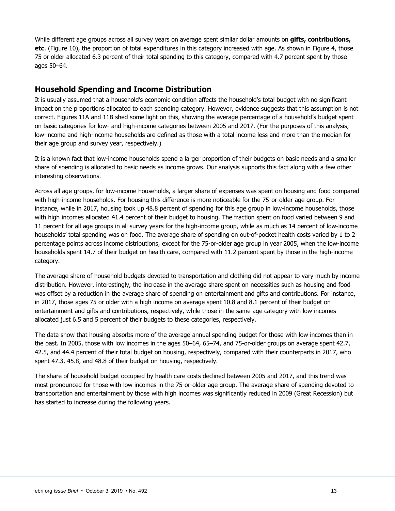While different age groups across all survey years on average spent similar dollar amounts on **gifts, contributions, etc**. (Figure 10), the proportion of total expenditures in this category increased with age. As shown in Figure 4, those 75 or older allocated 6.3 percent of their total spending to this category, compared with 4.7 percent spent by those ages 50–64.

#### <span id="page-12-0"></span>**Household Spending and Income Distribution**

It is usually assumed that a household's economic condition affects the household's total budget with no significant impact on the proportions allocated to each spending category. However, evidence suggests that this assumption is not correct. Figures 11A and 11B shed some light on this, showing the average percentage of a household's budget spent on basic categories for low- and high-income categories between 2005 and 2017. (For the purposes of this analysis, low-income and high-income households are defined as those with a total income less and more than the median for their age group and survey year, respectively.)

It is a known fact that low-income households spend a larger proportion of their budgets on basic needs and a smaller share of spending is allocated to basic needs as income grows. Our analysis supports this fact along with a few other interesting observations.

Across all age groups, for low-income households, a larger share of expenses was spent on housing and food compared with high-income households. For housing this difference is more noticeable for the 75-or-older age group. For instance, while in 2017, housing took up 48.8 percent of spending for this age group in low-income households, those with high incomes allocated 41.4 percent of their budget to housing. The fraction spent on food varied between 9 and 11 percent for all age groups in all survey years for the high-income group, while as much as 14 percent of low-income households' total spending was on food. The average share of spending on out-of-pocket health costs varied by 1 to 2 percentage points across income distributions, except for the 75-or-older age group in year 2005, when the low-income households spent 14.7 of their budget on health care, compared with 11.2 percent spent by those in the high-income category.

The average share of household budgets devoted to transportation and clothing did not appear to vary much by income distribution. However, interestingly, the increase in the average share spent on necessities such as housing and food was offset by a reduction in the average share of spending on entertainment and gifts and contributions. For instance, in 2017, those ages 75 or older with a high income on average spent 10.8 and 8.1 percent of their budget on entertainment and gifts and contributions, respectively, while those in the same age category with low incomes allocated just 6.5 and 5 percent of their budgets to these categories, respectively.

The data show that housing absorbs more of the average annual spending budget for those with low incomes than in the past. In 2005, those with low incomes in the ages 50–64, 65–74, and 75-or-older groups on average spent 42.7, 42.5, and 44.4 percent of their total budget on housing, respectively, compared with their counterparts in 2017, who spent 47.3, 45.8, and 48.8 of their budget on housing, respectively.

The share of household budget occupied by health care costs declined between 2005 and 2017, and this trend was most pronounced for those with low incomes in the 75-or-older age group. The average share of spending devoted to transportation and entertainment by those with high incomes was significantly reduced in 2009 (Great Recession) but has started to increase during the following years.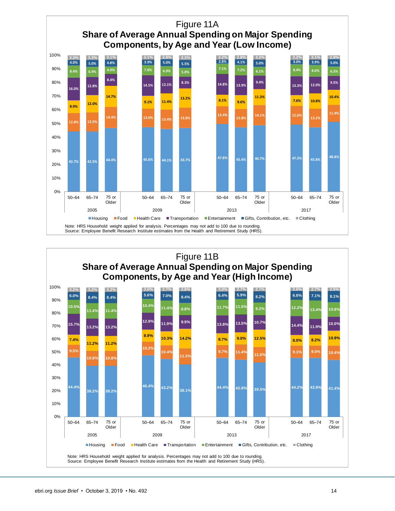

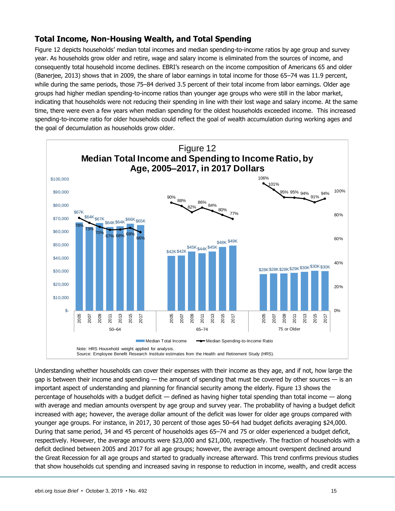## <span id="page-14-0"></span>**Total Income, Non-Housing Wealth, and Total Spending**

Figure 12 depicts households' median total incomes and median spending-to-income ratios by age group and survey year. As households grow older and retire, wage and salary income is eliminated from the sources of income, and consequently total household income declines. EBRI's research on the income composition of Americans 65 and older (Banerjee, 2013) shows that in 2009, the share of labor earnings in total income for those 65–74 was 11.9 percent, while during the same periods, those 75–84 derived 3.5 percent of their total income from labor earnings. Older age groups had higher median spending-to-income ratios than younger age groups who were still in the labor market, indicating that households were not reducing their spending in line with their lost wage and salary income. At the same time, there were even a few years when median spending for the oldest households exceeded income. This increased spending-to-income ratio for older households could reflect the goal of wealth accumulation during working ages and the goal of decumulation as households grow older.



Understanding whether households can cover their expenses with their income as they age, and if not, how large the gap is between their income and spending — the amount of spending that must be covered by other sources — is an important aspect of understanding and planning for financial security among the elderly. Figure 13 shows the percentage of households with a budget deficit — defined as having higher total spending than total income — along with average and median amounts overspent by age group and survey year. The probability of having a budget deficit increased with age; however, the average dollar amount of the deficit was lower for older age groups compared with younger age groups. For instance, in 2017, 30 percent of those ages 50–64 had budget deficits averaging \$24,000. During that same period, 34 and 45 percent of households ages 65–74 and 75 or older experienced a budget deficit, respectively. However, the average amounts were \$23,000 and \$21,000, respectively. The fraction of households with a deficit declined between 2005 and 2017 for all age groups; however, the average amount overspent declined around the Great Recession for all age groups and started to gradually increase afterward. This trend confirms previous studies that show households cut spending and increased saving in response to reduction in income, wealth, and credit access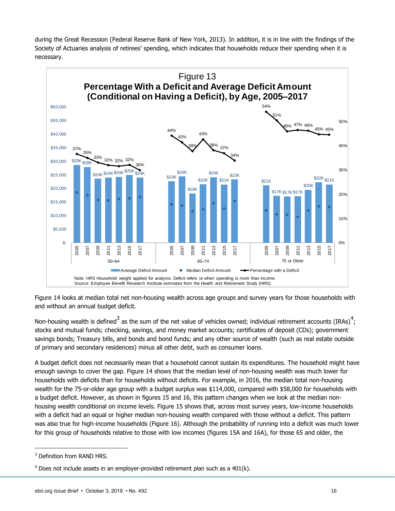during the Great Recession (Federal Reserve Bank of New York, 2013). In addition, it is in line with the findings of the Society of Actuaries analysis of retirees' spending, which indicates that households reduce their spending when it is necessary.



Figure 14 looks at median total net non-housing wealth across age groups and survey years for those households with and without an annual budget deficit.

Non-housing wealth is defined<sup>3</sup> as the sum of the net value of vehicles owned; individual retirement accounts (IRAs)<sup>4</sup>; stocks and mutual funds; checking, savings, and money market accounts; certificates of deposit (CDs); government savings bonds; Treasury bills, and bonds and bond funds; and any other source of wealth (such as real estate outside of primary and secondary residences) minus all other debt, such as consumer loans.

A budget deficit does not necessarily mean that a household cannot sustain its expenditures. The household might have enough savings to cover the gap. Figure 14 shows that the median level of non-housing wealth was much lower for households with deficits than for households without deficits. For example, in 2016, the median total non-housing wealth for the 75-or-older age group with a budget surplus was \$114,000, compared with \$58,000 for households with a budget deficit. However, as shown in figures 15 and 16, this pattern changes when we look at the median nonhousing wealth conditional on income levels. Figure 15 shows that, across most survey years, low-income households with a deficit had an equal or higher median non-housing wealth compared with those without a deficit. This pattern was also true for high-income households (Figure 16). Although the probability of running into a deficit was much lower for this group of households relative to those with low incomes (figures 15A and 16A), for those 65 and older, the

<sup>&</sup>lt;sup>3</sup> Definition from RAND HRS.

 $4$  Does not include assets in an employer-provided retirement plan such as a  $401(k)$ .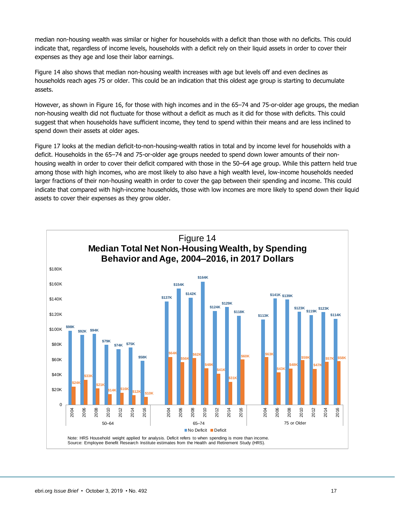median non-housing wealth was similar or higher for households with a deficit than those with no deficits. This could indicate that, regardless of income levels, households with a deficit rely on their liquid assets in order to cover their expenses as they age and lose their labor earnings.

Figure 14 also shows that median non-housing wealth increases with age but levels off and even declines as households reach ages 75 or older. This could be an indication that this oldest age group is starting to decumulate assets.

However, as shown in Figure 16, for those with high incomes and in the 65–74 and 75-or-older age groups, the median non-housing wealth did not fluctuate for those without a deficit as much as it did for those with deficits. This could suggest that when households have sufficient income, they tend to spend within their means and are less inclined to spend down their assets at older ages.

Figure 17 looks at the median deficit-to-non-housing-wealth ratios in total and by income level for households with a deficit. Households in the 65–74 and 75-or-older age groups needed to spend down lower amounts of their nonhousing wealth in order to cover their deficit compared with those in the 50–64 age group. While this pattern held true among those with high incomes, who are most likely to also have a high wealth level, low-income households needed larger fractions of their non-housing wealth in order to cover the gap between their spending and income. This could indicate that compared with high-income households, those with low incomes are more likely to spend down their liquid assets to cover their expenses as they grow older.

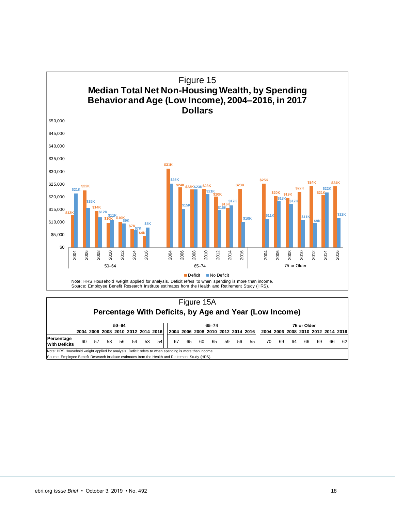

|                                    | Percentage With Deficits, by Age and Year (Low Income)                                                |    |    |           |    |    |                                    |    |    |       |    |    |    |                                    |                                    |    |    |    |    |    |    |
|------------------------------------|-------------------------------------------------------------------------------------------------------|----|----|-----------|----|----|------------------------------------|----|----|-------|----|----|----|------------------------------------|------------------------------------|----|----|----|----|----|----|
|                                    |                                                                                                       |    |    | $50 - 64$ |    |    |                                    |    |    | 65-74 |    |    |    | 75 or Older                        |                                    |    |    |    |    |    |    |
|                                    |                                                                                                       |    |    |           |    |    | 2004 2006 2008 2010 2012 2014 2016 |    |    |       |    |    |    | 2004 2006 2008 2010 2012 2014 2016 | 2004 2006 2008 2010 2012 2014 2016 |    |    |    |    |    |    |
| Percentage<br><b>With Deficits</b> | 60                                                                                                    | 57 | 58 | 56        | 54 | 53 | 54                                 | 67 | 65 | 60    | 65 | 59 | 56 | 55                                 | 70                                 | 69 | 64 | 66 | 69 | 66 | 62 |
|                                    | Note: HRS Household weight applied for analysis. Deficit refers to when spending is more than income. |    |    |           |    |    |                                    |    |    |       |    |    |    |                                    |                                    |    |    |    |    |    |    |

Source: Employee Benefit Research Institute estimates from the Health and Retirement Study (HRS).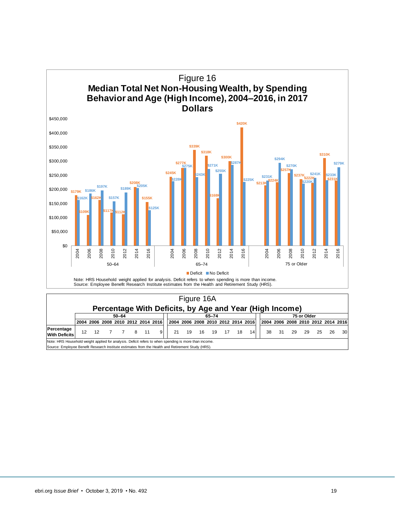

|                                                                                                                                                                                                            | $\Gamma$ crocinage with Defions, by Age and Tear (High moone) |  |  |  |             |  |                                    |                                    |                   |  |       |  |  |             |                                    |       |    |    |      |     |      |
|------------------------------------------------------------------------------------------------------------------------------------------------------------------------------------------------------------|---------------------------------------------------------------|--|--|--|-------------|--|------------------------------------|------------------------------------|-------------------|--|-------|--|--|-------------|------------------------------------|-------|----|----|------|-----|------|
|                                                                                                                                                                                                            | 50-64                                                         |  |  |  |             |  |                                    |                                    |                   |  | 65-74 |  |  | 75 or Older |                                    |       |    |    |      |     |      |
|                                                                                                                                                                                                            |                                                               |  |  |  |             |  | 2004 2006 2008 2010 2012 2014 2016 | 2004 2006 2008 2010 2012 2014 2016 |                   |  |       |  |  |             | 2004 2006 2008 2010 2012 2014 2016 |       |    |    |      |     |      |
| Percentage<br><b>With Deficits</b>                                                                                                                                                                         | 12                                                            |  |  |  | 12 7 7 8 11 |  | 91                                 |                                    | 21 19 16 19 17 18 |  |       |  |  | 14          |                                    | 38 31 | 29 | 29 | - 25 | -26 | 30 l |
| Note: HRS Household weight applied for analysis. Deficit refers to when spending is more than income.<br>Source: Employee Benefit Research Institute estimates from the Health and Retirement Study (HRS). |                                                               |  |  |  |             |  |                                    |                                    |                   |  |       |  |  |             |                                    |       |    |    |      |     |      |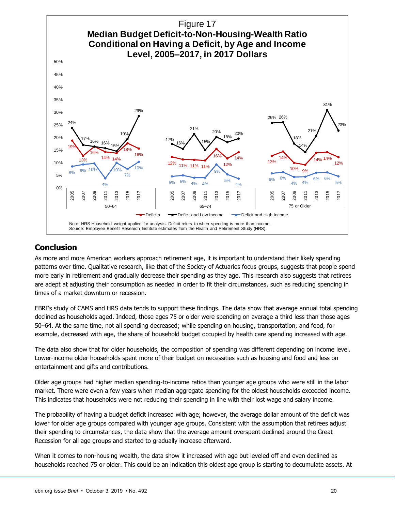

## <span id="page-19-0"></span>**Conclusion**

As more and more American workers approach retirement age, it is important to understand their likely spending patterns over time. Qualitative research, like that of the Society of Actuaries focus groups, suggests that people spend more early in retirement and gradually decrease their spending as they age. This research also suggests that retirees are adept at adjusting their consumption as needed in order to fit their circumstances, such as reducing spending in times of a market downturn or recession.

EBRI's study of CAMS and HRS data tends to support these findings. The data show that average annual total spending declined as households aged. Indeed, those ages 75 or older were spending on average a third less than those ages 50–64. At the same time, not all spending decreased; while spending on housing, transportation, and food, for example, decreased with age, the share of household budget occupied by health care spending increased with age.

The data also show that for older households, the composition of spending was different depending on income level. Lower-income older households spent more of their budget on necessities such as housing and food and less on entertainment and gifts and contributions.

Older age groups had higher median spending-to-income ratios than younger age groups who were still in the labor market. There were even a few years when median aggregate spending for the oldest households exceeded income. This indicates that households were not reducing their spending in line with their lost wage and salary income.

The probability of having a budget deficit increased with age; however, the average dollar amount of the deficit was lower for older age groups compared with younger age groups. Consistent with the assumption that retirees adjust their spending to circumstances, the data show that the average amount overspent declined around the Great Recession for all age groups and started to gradually increase afterward.

When it comes to non-housing wealth, the data show it increased with age but leveled off and even declined as households reached 75 or older. This could be an indication this oldest age group is starting to decumulate assets. At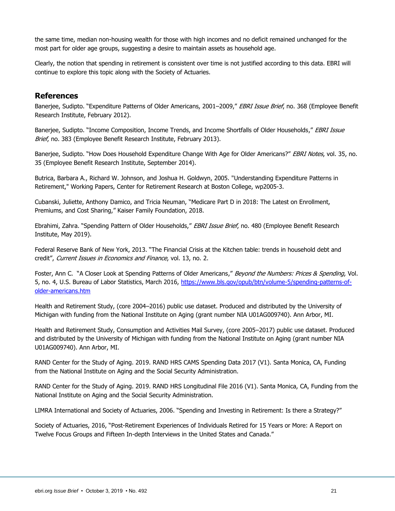the same time, median non-housing wealth for those with high incomes and no deficit remained unchanged for the most part for older age groups, suggesting a desire to maintain assets as household age.

Clearly, the notion that spending in retirement is consistent over time is not justified according to this data. EBRI will continue to explore this topic along with the Society of Actuaries.

#### <span id="page-20-0"></span>**References**

Banerjee, Sudipto. "Expenditure Patterns of Older Americans, 2001–2009," EBRI Issue Brief, no. 368 (Employee Benefit Research Institute, February 2012).

Banerjee, Sudipto. "Income Composition, Income Trends, and Income Shortfalls of Older Households," EBRI Issue Brief, no. 383 (Employee Benefit Research Institute, February 2013).

Banerjee, Sudipto. "How Does Household Expenditure Change With Age for Older Americans?" EBRI Notes, vol. 35, no. 35 (Employee Benefit Research Institute, September 2014).

Butrica, Barbara A., Richard W. Johnson, and Joshua H. Goldwyn, 2005. "Understanding Expenditure Patterns in Retirement," Working Papers, Center for Retirement Research at Boston College, wp2005-3.

Cubanski, Juliette, Anthony Damico, and Tricia Neuman, "Medicare Part D in 2018: The Latest on Enrollment, Premiums, and Cost Sharing," Kaiser Family Foundation, 2018.

Ebrahimi, Zahra. "Spending Pattern of Older Households," EBRI Issue Brief, no. 480 (Employee Benefit Research Institute, May 2019).

Federal Reserve Bank of New York, 2013. "The Financial Crisis at the Kitchen table: trends in household debt and credit", Current Issues in Economics and Finance, vol. 13, no. 2.

Foster, Ann C. "A Closer Look at Spending Patterns of Older Americans," Beyond the Numbers: Prices & Spending, Vol. 5, no. 4, U.S. Bureau of Labor Statistics, March 2016, [https://www.bls.gov/opub/btn/volume-5/spending-patterns-of](https://www.bls.gov/opub/btn/volume-5/spending-patterns-of-older-americans.htm)[older-americans.htm](https://www.bls.gov/opub/btn/volume-5/spending-patterns-of-older-americans.htm)

Health and Retirement Study, (core 2004–2016) public use dataset. Produced and distributed by the University of Michigan with funding from the National Institute on Aging (grant number NIA U01AG009740). Ann Arbor, MI.

Health and Retirement Study, Consumption and Activities Mail Survey, (core 2005–2017) public use dataset. Produced and distributed by the University of Michigan with funding from the National Institute on Aging (grant number NIA U01AG009740). Ann Arbor, MI.

RAND Center for the Study of Aging. 2019. RAND HRS CAMS Spending Data 2017 (V1). Santa Monica, CA, Funding from the National Institute on Aging and the Social Security Administration.

RAND Center for the Study of Aging. 2019. RAND HRS Longitudinal File 2016 (V1). Santa Monica, CA, Funding from the National Institute on Aging and the Social Security Administration.

LIMRA International and Society of Actuaries, 2006. "Spending and Investing in Retirement: Is there a Strategy?"

Society of Actuaries, 2016, "Post-Retirement Experiences of Individuals Retired for 15 Years or More: A Report on Twelve Focus Groups and Fifteen In-depth Interviews in the United States and Canada."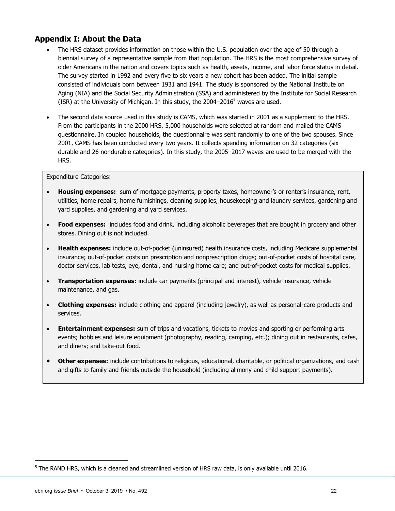#### <span id="page-21-0"></span>**Appendix I: About the Data**

- The HRS dataset provides information on those within the U.S. population over the age of 50 through a biennial survey of a representative sample from that population. The HRS is the most comprehensive survey of older Americans in the nation and covers topics such as health, assets, income, and labor force status in detail. The survey started in 1992 and every five to six years a new cohort has been added. The initial sample consisted of individuals born between 1931 and 1941. The study is sponsored by the National Institute on Aging (NIA) and the Social Security Administration (SSA) and administered by the Institute for Social Research (ISR) at the University of Michigan. In this study, the  $2004-2016<sup>5</sup>$  waves are used.
- The second data source used in this study is CAMS, which was started in 2001 as a supplement to the HRS. From the participants in the 2000 HRS, 5,000 households were selected at random and mailed the CAMS questionnaire. In coupled households, the questionnaire was sent randomly to one of the two spouses. Since 2001, CAMS has been conducted every two years. It collects spending information on 32 categories (six durable and 26 nondurable categories). In this study, the 2005–2017 waves are used to be merged with the HRS.

#### Expenditure Categories:

- **Housing expenses:** sum of mortgage payments, property taxes, homeowner's or renter's insurance, rent, utilities, home repairs, home furnishings, cleaning supplies, housekeeping and laundry services, gardening and yard supplies, and gardening and yard services.
- **Food expenses:** includes food and drink, including alcoholic beverages that are bought in grocery and other stores. Dining out is not included.
- **Health expenses:** include out-of-pocket (uninsured) health insurance costs, including Medicare supplemental insurance; out-of-pocket costs on prescription and nonprescription drugs; out-of-pocket costs of hospital care, doctor services, lab tests, eye, dental, and nursing home care; and out-of-pocket costs for medical supplies.
- **Transportation expenses:** include car payments (principal and interest), vehicle insurance, vehicle maintenance, and gas.
- **Clothing expenses:** include clothing and apparel (including jewelry), as well as personal-care products and services.
- **Entertainment expenses:** sum of trips and vacations, tickets to movies and sporting or performing arts events; hobbies and leisure equipment (photography, reading, camping, etc.); dining out in restaurants, cafes, and diners; and take-out food.
- **Other expenses:** include contributions to religious, educational, charitable, or political organizations, and cash and gifts to family and friends outside the household (including alimony and child support payments).

 $^5$  The RAND HRS, which is a cleaned and streamlined version of HRS raw data, is only available until 2016.